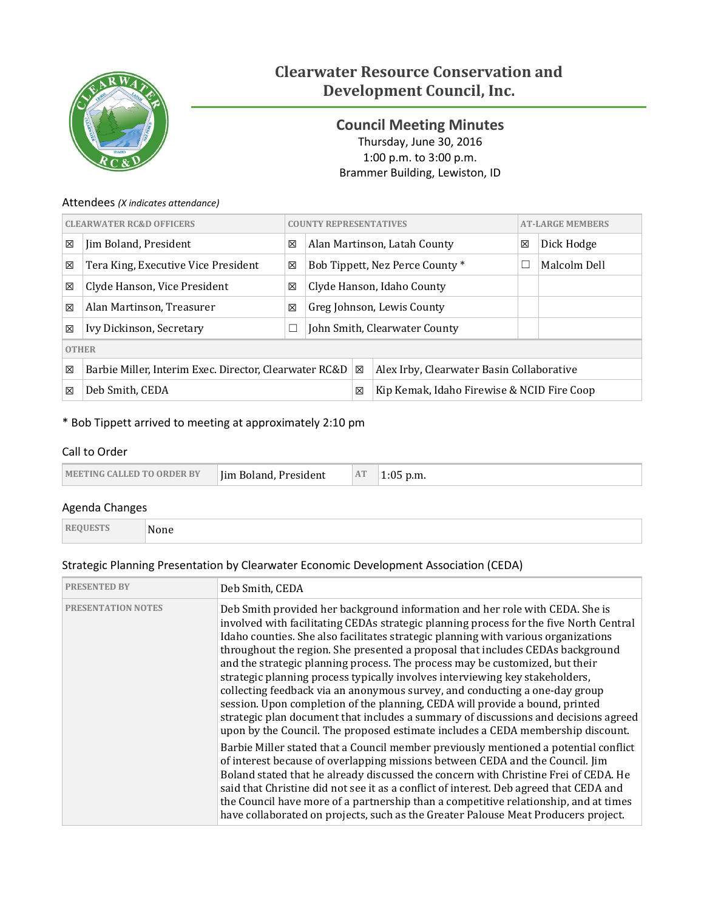

# **Clearwater Resource Conservation and Development Council, Inc.**

<span id="page-0-0"></span>**Council Meeting Minutes** Thursday, June 30, 2016 1:00 p.m. to 3:00 p.m. Brammer Building, Lewiston, ID

# Attendees *(X indicates attendance)*

| <b>CLEARWATER RC&amp;D OFFICERS</b> |                                                        |   | <b>COUNTY REPRESENTATIVES</b>                   |                               |                                           |   | <b>AT-LARGE MEMBERS</b> |  |
|-------------------------------------|--------------------------------------------------------|---|-------------------------------------------------|-------------------------------|-------------------------------------------|---|-------------------------|--|
| X                                   | Jim Boland, President                                  | X |                                                 |                               | Alan Martinson, Latah County              | 区 | Dick Hodge              |  |
| X                                   | Tera King, Executive Vice President                    | 区 |                                                 |                               | Bob Tippett, Nez Perce County *           |   | Malcolm Dell            |  |
| 区                                   | Clyde Hanson, Vice President                           | X |                                                 |                               | Clyde Hanson, Idaho County                |   |                         |  |
| X                                   | Alan Martinson, Treasurer                              | 区 |                                                 |                               | Greg Johnson, Lewis County                |   |                         |  |
| 区                                   | Ivy Dickinson, Secretary                               | ⊔ |                                                 | John Smith, Clearwater County |                                           |   |                         |  |
| <b>OTHER</b>                        |                                                        |   |                                                 |                               |                                           |   |                         |  |
| ⊠                                   | Barbie Miller, Interim Exec. Director, Clearwater RC&D |   |                                                 | ⊠                             | Alex Irby, Clearwater Basin Collaborative |   |                         |  |
| 冈                                   | Deb Smith, CEDA                                        |   | Kip Kemak, Idaho Firewise & NCID Fire Coop<br>区 |                               |                                           |   |                         |  |

# \* Bob Tippett arrived to meeting at approximately 2:10 pm

# Call to Order

| <b>MEETING CALLED TO ORDER BY</b> | AT<br>Iim Boland, President | p.m. |
|-----------------------------------|-----------------------------|------|
|-----------------------------------|-----------------------------|------|

## Agenda Changes

| <b>REQUESTS</b> | None |
|-----------------|------|
|                 |      |

# Strategic Planning Presentation by Clearwater Economic Development Association (CEDA)

| <b>PRESENTED BY</b>       | Deb Smith, CEDA                                                                                                                                                                                                                                                                                                                                                                                                                                                                                                                                                                                                                                                                                                                                                                                                                                         |
|---------------------------|---------------------------------------------------------------------------------------------------------------------------------------------------------------------------------------------------------------------------------------------------------------------------------------------------------------------------------------------------------------------------------------------------------------------------------------------------------------------------------------------------------------------------------------------------------------------------------------------------------------------------------------------------------------------------------------------------------------------------------------------------------------------------------------------------------------------------------------------------------|
| <b>PRESENTATION NOTES</b> | Deb Smith provided her background information and her role with CEDA. She is<br>involved with facilitating CEDAs strategic planning process for the five North Central<br>Idaho counties. She also facilitates strategic planning with various organizations<br>throughout the region. She presented a proposal that includes CEDAs background<br>and the strategic planning process. The process may be customized, but their<br>strategic planning process typically involves interviewing key stakeholders,<br>collecting feedback via an anonymous survey, and conducting a one-day group<br>session. Upon completion of the planning, CEDA will provide a bound, printed<br>strategic plan document that includes a summary of discussions and decisions agreed<br>upon by the Council. The proposed estimate includes a CEDA membership discount. |
|                           | Barbie Miller stated that a Council member previously mentioned a potential conflict<br>of interest because of overlapping missions between CEDA and the Council. Jim<br>Boland stated that he already discussed the concern with Christine Frei of CEDA. He<br>said that Christine did not see it as a conflict of interest. Deb agreed that CEDA and<br>the Council have more of a partnership than a competitive relationship, and at times<br>have collaborated on projects, such as the Greater Palouse Meat Producers project.                                                                                                                                                                                                                                                                                                                    |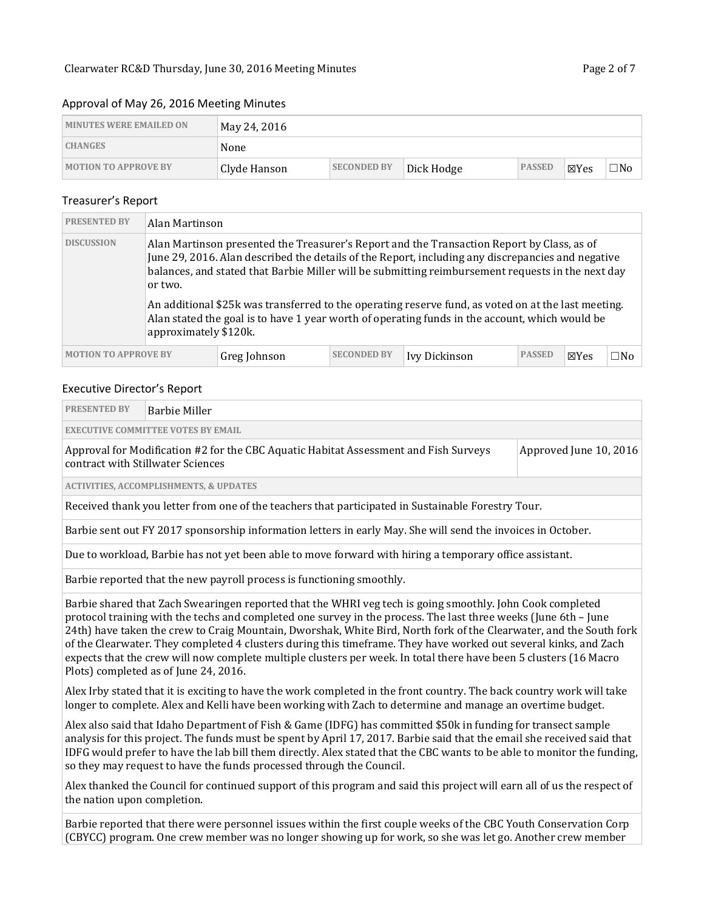#### Approval of May 26, 2016 Meeting Minutes

| <b>MINUTES WERE EMAILED ON</b> | May 24, 2016 |                    |            |               |      |              |
|--------------------------------|--------------|--------------------|------------|---------------|------|--------------|
| <b>CHANGES</b>                 | None         |                    |            |               |      |              |
| <b>MOTION TO APPROVE BY</b>    | Clyde Hanson | <b>SECONDED BY</b> | Dick Hodge | <b>PASSED</b> | ⊠Yes | $\square$ No |

#### Treasurer's Report

| <b>PRESENTED BY</b>         | Alan Martinson                   |              |                    |                                                                                                                                                                                                                                                                                                                                                                                                                                                                                                               |               |                 |              |
|-----------------------------|----------------------------------|--------------|--------------------|---------------------------------------------------------------------------------------------------------------------------------------------------------------------------------------------------------------------------------------------------------------------------------------------------------------------------------------------------------------------------------------------------------------------------------------------------------------------------------------------------------------|---------------|-----------------|--------------|
| <b>DISCUSSION</b>           | or two.<br>approximately \$120k. |              |                    | Alan Martinson presented the Treasurer's Report and the Transaction Report by Class, as of<br>June 29, 2016. Alan described the details of the Report, including any discrepancies and negative<br>balances, and stated that Barbie Miller will be submitting reimbursement requests in the next day<br>An additional \$25k was transferred to the operating reserve fund, as voted on at the last meeting.<br>Alan stated the goal is to have 1 year worth of operating funds in the account, which would be |               |                 |              |
| <b>MOTION TO APPROVE BY</b> |                                  | Greg Johnson | <b>SECONDED BY</b> | Ivy Dickinson                                                                                                                                                                                                                                                                                                                                                                                                                                                                                                 | <b>PASSED</b> | $\boxtimes$ Yes | $\square$ No |

#### Executive Director's Report

| <b>PRESENTED BY</b>                                                                                                                                                                                                                                                                                                                                                                                                                                                                                                                                                                                                                                                                                                                                            | <b>Barbie Miller</b>                                                                                                      |                        |  |  |  |  |  |
|----------------------------------------------------------------------------------------------------------------------------------------------------------------------------------------------------------------------------------------------------------------------------------------------------------------------------------------------------------------------------------------------------------------------------------------------------------------------------------------------------------------------------------------------------------------------------------------------------------------------------------------------------------------------------------------------------------------------------------------------------------------|---------------------------------------------------------------------------------------------------------------------------|------------------------|--|--|--|--|--|
|                                                                                                                                                                                                                                                                                                                                                                                                                                                                                                                                                                                                                                                                                                                                                                | <b>EXECUTIVE COMMITTEE VOTES BY EMAIL</b>                                                                                 |                        |  |  |  |  |  |
|                                                                                                                                                                                                                                                                                                                                                                                                                                                                                                                                                                                                                                                                                                                                                                | Approval for Modification #2 for the CBC Aquatic Habitat Assessment and Fish Surveys<br>contract with Stillwater Sciences | Approved June 10, 2016 |  |  |  |  |  |
|                                                                                                                                                                                                                                                                                                                                                                                                                                                                                                                                                                                                                                                                                                                                                                | <b>ACTIVITIES, ACCOMPLISHMENTS, &amp; UPDATES</b>                                                                         |                        |  |  |  |  |  |
|                                                                                                                                                                                                                                                                                                                                                                                                                                                                                                                                                                                                                                                                                                                                                                | Received thank you letter from one of the teachers that participated in Sustainable Forestry Tour.                        |                        |  |  |  |  |  |
|                                                                                                                                                                                                                                                                                                                                                                                                                                                                                                                                                                                                                                                                                                                                                                | Barbie sent out FY 2017 sponsorship information letters in early May. She will send the invoices in October.              |                        |  |  |  |  |  |
|                                                                                                                                                                                                                                                                                                                                                                                                                                                                                                                                                                                                                                                                                                                                                                | Due to workload, Barbie has not yet been able to move forward with hiring a temporary office assistant.                   |                        |  |  |  |  |  |
|                                                                                                                                                                                                                                                                                                                                                                                                                                                                                                                                                                                                                                                                                                                                                                | Barbie reported that the new payroll process is functioning smoothly.                                                     |                        |  |  |  |  |  |
| Barbie shared that Zach Swearingen reported that the WHRI veg tech is going smoothly. John Cook completed<br>protocol training with the techs and completed one survey in the process. The last three weeks (June 6th – June<br>24th) have taken the crew to Craig Mountain, Dworshak, White Bird, North fork of the Clearwater, and the South fork<br>of the Clearwater. They completed 4 clusters during this timeframe. They have worked out several kinks, and Zach<br>expects that the crew will now complete multiple clusters per week. In total there have been 5 clusters (16 Macro<br>Plots) completed as of June 24, 2016.<br>Alex Irby stated that it is exciting to have the work completed in the front country. The back country work will take |                                                                                                                           |                        |  |  |  |  |  |
|                                                                                                                                                                                                                                                                                                                                                                                                                                                                                                                                                                                                                                                                                                                                                                | longer to complete. Alex and Kelli have been working with Zach to determine and manage an overtime budget.                |                        |  |  |  |  |  |

Alex also said that Idaho Department of Fish & Game (IDFG) has committed \$50k in funding for transect sample analysis for this project. The funds must be spent by April 17, 2017. Barbie said that the email she received said that IDFG would prefer to have the lab bill them directly. Alex stated that the CBC wants to be able to monitor the funding, so they may request to have the funds processed through the Council.

Alex thanked the Council for continued support of this program and said this project will earn all of us the respect of the nation upon completion.

Barbie reported that there were personnel issues within the first couple weeks of the CBC Youth Conservation Corp (CBYCC) program. One crew member was no longer showing up for work, so she was let go. Another crew member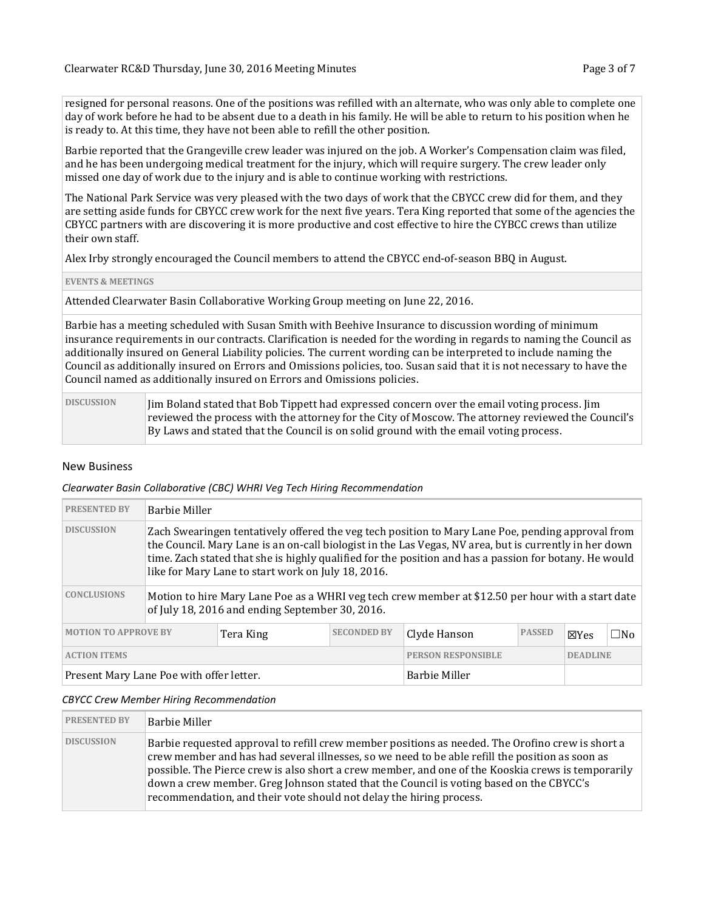resigned for personal reasons. One of the positions was refilled with an alternate, who was only able to complete one day of work before he had to be absent due to a death in his family. He will be able to return to his position when he is ready to. At this time, they have not been able to refill the other position.

Barbie reported that the Grangeville crew leader was injured on the job. A Worker's Compensation claim was filed, and he has been undergoing medical treatment for the injury, which will require surgery. The crew leader only missed one day of work due to the injury and is able to continue working with restrictions.

The National Park Service was very pleased with the two days of work that the CBYCC crew did for them, and they are setting aside funds for CBYCC crew work for the next five years. Tera King reported that some of the agencies the CBYCC partners with are discovering it is more productive and cost effective to hire the CYBCC crews than utilize their own staff.

Alex Irby strongly encouraged the Council members to attend the CBYCC end-of-season BBQ in August.

#### **EVENTS & MEETINGS**

Attended Clearwater Basin Collaborative Working Group meeting on June 22, 2016.

Barbie has a meeting scheduled with Susan Smith with Beehive Insurance to discussion wording of minimum insurance requirements in our contracts. Clarification is needed for the wording in regards to naming the Council as additionally insured on General Liability policies. The current wording can be interpreted to include naming the Council as additionally insured on Errors and Omissions policies, too. Susan said that it is not necessary to have the Council named as additionally insured on Errors and Omissions policies.

| <b>DISCUSSION</b> | In Boland stated that Bob Tippett had expressed concern over the email voting process. Jim         |
|-------------------|----------------------------------------------------------------------------------------------------|
|                   | reviewed the process with the attorney for the City of Moscow. The attorney reviewed the Council's |
|                   | By Laws and stated that the Council is on solid ground with the email voting process.              |

#### New Business

*Clearwater Basin Collaborative (CBC) WHRI Veg Tech Hiring Recommendation*

| <b>PRESENTED BY</b>         | <b>Barbie Miller</b>                                                                                                                                                                                                                                                                                                                                                        |           |                    |                           |               |                 |              |  |
|-----------------------------|-----------------------------------------------------------------------------------------------------------------------------------------------------------------------------------------------------------------------------------------------------------------------------------------------------------------------------------------------------------------------------|-----------|--------------------|---------------------------|---------------|-----------------|--------------|--|
| <b>DISCUSSION</b>           | Zach Swearingen tentatively offered the veg tech position to Mary Lane Poe, pending approval from<br>the Council. Mary Lane is an on-call biologist in the Las Vegas, NV area, but is currently in her down<br>time. Zach stated that she is highly qualified for the position and has a passion for botany. He would<br>like for Mary Lane to start work on July 18, 2016. |           |                    |                           |               |                 |              |  |
| <b>CONCLUSIONS</b>          | Motion to hire Mary Lane Poe as a WHRI veg tech crew member at \$12.50 per hour with a start date<br>of July 18, 2016 and ending September 30, 2016.                                                                                                                                                                                                                        |           |                    |                           |               |                 |              |  |
| <b>MOTION TO APPROVE BY</b> |                                                                                                                                                                                                                                                                                                                                                                             | Tera King | <b>SECONDED BY</b> | Clyde Hanson              | <b>PASSED</b> | $\boxtimes$ Yes | $\square$ No |  |
| <b>ACTION ITEMS</b>         |                                                                                                                                                                                                                                                                                                                                                                             |           |                    | <b>PERSON RESPONSIBLE</b> |               | <b>DEADLINE</b> |              |  |
|                             | <b>Barbie Miller</b><br>Present Mary Lane Poe with offer letter.                                                                                                                                                                                                                                                                                                            |           |                    |                           |               |                 |              |  |

#### *CBYCC Crew Member Hiring Recommendation*

| <b>PRESENTED BY</b> | Barbie Miller                                                                                                                                                                                                                                                                                                                                                                                                                                                               |
|---------------------|-----------------------------------------------------------------------------------------------------------------------------------------------------------------------------------------------------------------------------------------------------------------------------------------------------------------------------------------------------------------------------------------------------------------------------------------------------------------------------|
| <b>DISCUSSION</b>   | Barbie requested approval to refill crew member positions as needed. The Orofino crew is short a<br>crew member and has had several illnesses, so we need to be able refill the position as soon as<br>possible. The Pierce crew is also short a crew member, and one of the Kooskia crews is temporarily<br>down a crew member. Greg Johnson stated that the Council is voting based on the CBYCC's<br>recommendation, and their vote should not delay the hiring process. |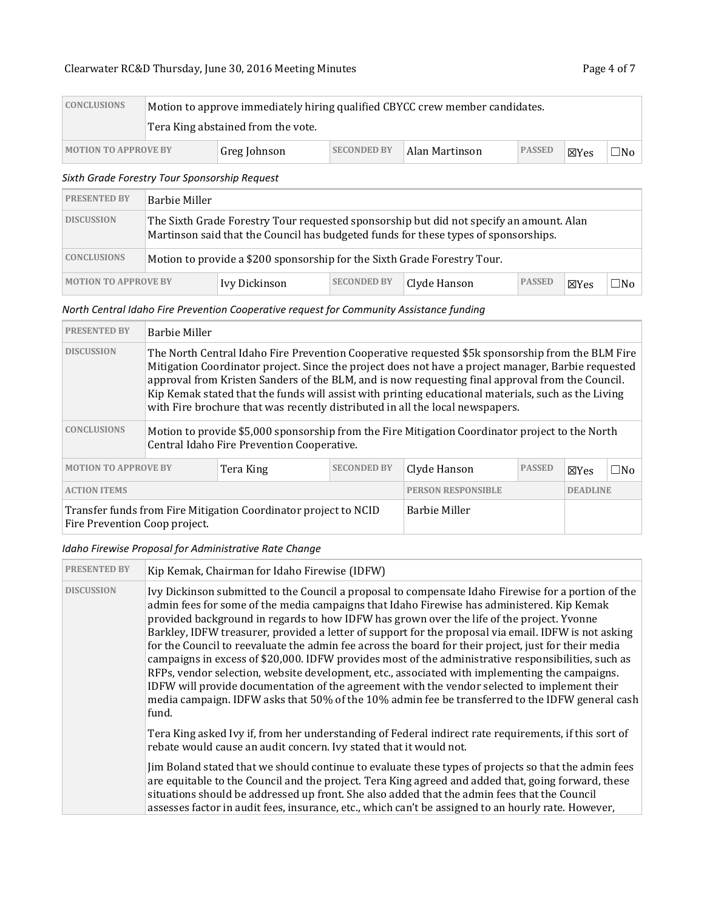# Clearwater RC&D [Thursday, June 30, 2016](#page-0-0) Meeting Minutes **Page 4 of 7** Page 4 of 7

| <b>CONCLUSIONS</b>          |                                    |                    | Motion to approve immediately hiring qualified CBYCC crew member candidates. |               |                 |     |
|-----------------------------|------------------------------------|--------------------|------------------------------------------------------------------------------|---------------|-----------------|-----|
|                             | Tera King abstained from the vote. |                    |                                                                              |               |                 |     |
| <b>MOTION TO APPROVE BY</b> | Greg Johnson                       | <b>SECONDED BY</b> | Alan Martinson                                                               | <b>PASSED</b> | $\boxtimes$ Yes | □No |

## *Sixth Grade Forestry Tour Sponsorship Request*

| <b>PRESENTED BY</b>         | Barbie Miller                                                            |               |                    |                                                                                                                                                                                |               |                 |     |
|-----------------------------|--------------------------------------------------------------------------|---------------|--------------------|--------------------------------------------------------------------------------------------------------------------------------------------------------------------------------|---------------|-----------------|-----|
| <b>DISCUSSION</b>           |                                                                          |               |                    | The Sixth Grade Forestry Tour requested sponsorship but did not specify an amount. Alan<br>Martinson said that the Council has budgeted funds for these types of sponsorships. |               |                 |     |
| <b>CONCLUSIONS</b>          | Motion to provide a \$200 sponsorship for the Sixth Grade Forestry Tour. |               |                    |                                                                                                                                                                                |               |                 |     |
| <b>MOTION TO APPROVE BY</b> |                                                                          | Ivy Dickinson | <b>SECONDED BY</b> | Clyde Hanson                                                                                                                                                                   | <b>PASSED</b> | $\boxtimes$ Yes | ∃No |

# *North Central Idaho Fire Prevention Cooperative request for Community Assistance funding*

| <b>PRESENTED BY</b>                                                                              | <b>Barbie Miller</b>                                                                                                                                                                                                                                                                                                                                                                                                                                                                                |                      |                           |                 |                 |  |  |  |
|--------------------------------------------------------------------------------------------------|-----------------------------------------------------------------------------------------------------------------------------------------------------------------------------------------------------------------------------------------------------------------------------------------------------------------------------------------------------------------------------------------------------------------------------------------------------------------------------------------------------|----------------------|---------------------------|-----------------|-----------------|--|--|--|
| <b>DISCUSSION</b>                                                                                | The North Central Idaho Fire Prevention Cooperative requested \$5k sponsorship from the BLM Fire<br>Mitigation Coordinator project. Since the project does not have a project manager, Barbie requested<br>approval from Kristen Sanders of the BLM, and is now requesting final approval from the Council.<br>Kip Kemak stated that the funds will assist with printing educational materials, such as the Living<br>with Fire brochure that was recently distributed in all the local newspapers. |                      |                           |                 |                 |  |  |  |
| <b>CONCLUSIONS</b>                                                                               | Motion to provide \$5,000 sponsorship from the Fire Mitigation Coordinator project to the North<br>Central Idaho Fire Prevention Cooperative.                                                                                                                                                                                                                                                                                                                                                       |                      |                           |                 |                 |  |  |  |
| <b>MOTION TO APPROVE BY</b><br><b>SECONDED BY</b><br>Tera King                                   |                                                                                                                                                                                                                                                                                                                                                                                                                                                                                                     | Clyde Hanson         | <b>PASSED</b>             | $\boxtimes$ Yes | $\square$ No    |  |  |  |
| <b>ACTION ITEMS</b>                                                                              |                                                                                                                                                                                                                                                                                                                                                                                                                                                                                                     |                      | <b>PERSON RESPONSIBLE</b> |                 | <b>DEADLINE</b> |  |  |  |
| Transfer funds from Fire Mitigation Coordinator project to NCID<br>Fire Prevention Coop project. |                                                                                                                                                                                                                                                                                                                                                                                                                                                                                                     | <b>Barbie Miller</b> |                           |                 |                 |  |  |  |

## *Idaho Firewise Proposal for Administrative Rate Change*

| <b>PRESENTED BY</b> | Kip Kemak, Chairman for Idaho Firewise (IDFW)                                                                                                                                                                                                                                                                                                                                                                                                                                                                                                                                                                                                                                                                                                                                                                                                                                                                                       |
|---------------------|-------------------------------------------------------------------------------------------------------------------------------------------------------------------------------------------------------------------------------------------------------------------------------------------------------------------------------------------------------------------------------------------------------------------------------------------------------------------------------------------------------------------------------------------------------------------------------------------------------------------------------------------------------------------------------------------------------------------------------------------------------------------------------------------------------------------------------------------------------------------------------------------------------------------------------------|
| <b>DISCUSSION</b>   | Ivy Dickinson submitted to the Council a proposal to compensate Idaho Firewise for a portion of the<br>admin fees for some of the media campaigns that Idaho Firewise has administered. Kip Kemak<br>provided background in regards to how IDFW has grown over the life of the project. Yvonne<br>Barkley, IDFW treasurer, provided a letter of support for the proposal via email. IDFW is not asking<br>for the Council to reevaluate the admin fee across the board for their project, just for their media<br>campaigns in excess of \$20,000. IDFW provides most of the administrative responsibilities, such as<br>RFPs, vendor selection, website development, etc., associated with implementing the campaigns.<br>IDFW will provide documentation of the agreement with the vendor selected to implement their<br>media campaign. IDFW asks that 50% of the 10% admin fee be transferred to the IDFW general cash<br>fund. |
|                     | Tera King asked Ivy if, from her understanding of Federal indirect rate requirements, if this sort of<br>rebate would cause an audit concern. Ivy stated that it would not.                                                                                                                                                                                                                                                                                                                                                                                                                                                                                                                                                                                                                                                                                                                                                         |
|                     | Jim Boland stated that we should continue to evaluate these types of projects so that the admin fees<br>are equitable to the Council and the project. Tera King agreed and added that, going forward, these<br>situations should be addressed up front. She also added that the admin fees that the Council<br>assesses factor in audit fees, insurance, etc., which can't be assigned to an hourly rate. However,                                                                                                                                                                                                                                                                                                                                                                                                                                                                                                                  |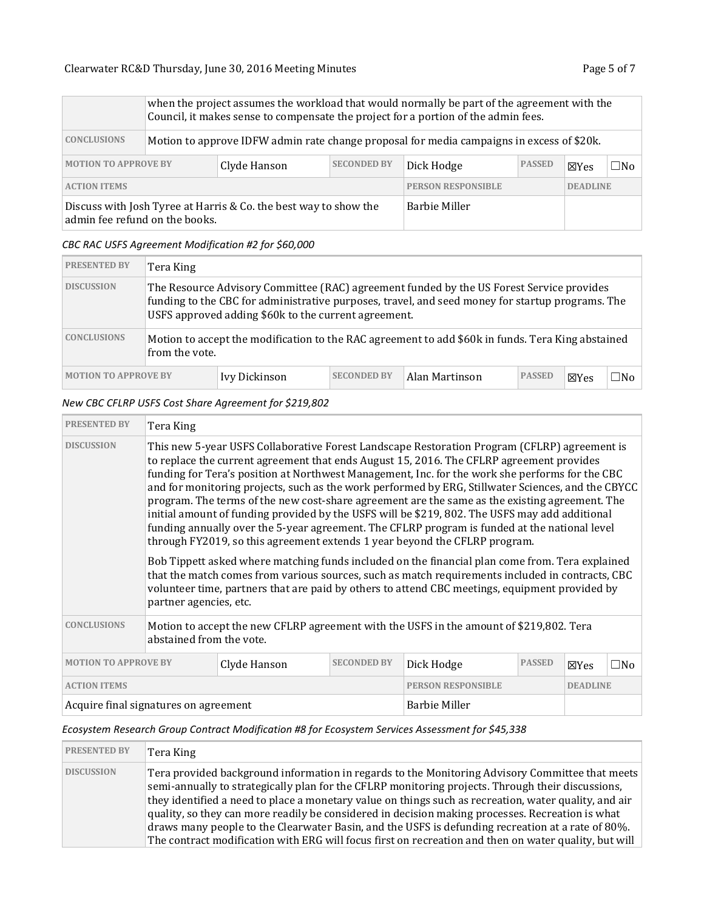|                                                                                                    | when the project assumes the workload that would normally be part of the agreement with the<br>Council, it makes sense to compensate the project for a portion of the admin fees. |                                                                                           |                           |                 |               |                 |           |  |
|----------------------------------------------------------------------------------------------------|-----------------------------------------------------------------------------------------------------------------------------------------------------------------------------------|-------------------------------------------------------------------------------------------|---------------------------|-----------------|---------------|-----------------|-----------|--|
| <b>CONCLUSIONS</b>                                                                                 |                                                                                                                                                                                   | Motion to approve IDFW admin rate change proposal for media campaigns in excess of \$20k. |                           |                 |               |                 |           |  |
| <b>SECONDED BY</b><br><b>MOTION TO APPROVE BY</b><br>Clyde Hanson                                  |                                                                                                                                                                                   |                                                                                           |                           | Dick Hodge      | <b>PASSED</b> | $\boxtimes$ Yes | $\Box$ No |  |
| <b>ACTION ITEMS</b>                                                                                |                                                                                                                                                                                   |                                                                                           | <b>PERSON RESPONSIBLE</b> | <b>DEADLINE</b> |               |                 |           |  |
| Discuss with Josh Tyree at Harris & Co. the best way to show the<br>admin fee refund on the books. |                                                                                                                                                                                   |                                                                                           | Barbie Miller             |                 |               |                 |           |  |

#### *CBC RAC USFS Agreement Modification #2 for \$60,000*

| <b>PRESENTED BY</b>         | Tera King                                                                                                                                                                                                                                            |               |                    |                |               |              |              |  |  |
|-----------------------------|------------------------------------------------------------------------------------------------------------------------------------------------------------------------------------------------------------------------------------------------------|---------------|--------------------|----------------|---------------|--------------|--------------|--|--|
| <b>DISCUSSION</b>           | The Resource Advisory Committee (RAC) agreement funded by the US Forest Service provides<br>funding to the CBC for administrative purposes, travel, and seed money for startup programs. The<br>USFS approved adding \$60k to the current agreement. |               |                    |                |               |              |              |  |  |
| <b>CONCLUSIONS</b>          | Motion to accept the modification to the RAC agreement to add \$60k in funds. Tera King abstained<br>from the vote.                                                                                                                                  |               |                    |                |               |              |              |  |  |
| <b>MOTION TO APPROVE BY</b> |                                                                                                                                                                                                                                                      | Ivy Dickinson | <b>SECONDED BY</b> | Alan Martinson | <b>PASSED</b> | $\nabla$ Yes | $\square$ No |  |  |

## *New CBC CFLRP USFS Cost Share Agreement for \$219,802*

| <b>PRESENTED BY</b>                                               | Tera King                                                                                                           |                           |  |                                                                                                                                                                                                                                                                                                                                                                                                                                                                                                                                                                                                                                                                                                                                                                                                                                                                                                                                                                                                                                                                                               |               |                 |              |  |
|-------------------------------------------------------------------|---------------------------------------------------------------------------------------------------------------------|---------------------------|--|-----------------------------------------------------------------------------------------------------------------------------------------------------------------------------------------------------------------------------------------------------------------------------------------------------------------------------------------------------------------------------------------------------------------------------------------------------------------------------------------------------------------------------------------------------------------------------------------------------------------------------------------------------------------------------------------------------------------------------------------------------------------------------------------------------------------------------------------------------------------------------------------------------------------------------------------------------------------------------------------------------------------------------------------------------------------------------------------------|---------------|-----------------|--------------|--|
| <b>DISCUSSION</b>                                                 | partner agencies, etc.                                                                                              |                           |  | This new 5-year USFS Collaborative Forest Landscape Restoration Program (CFLRP) agreement is<br>to replace the current agreement that ends August 15, 2016. The CFLRP agreement provides<br>funding for Tera's position at Northwest Management, Inc. for the work she performs for the CBC<br>and for monitoring projects, such as the work performed by ERG, Stillwater Sciences, and the CBYCC<br>program. The terms of the new cost-share agreement are the same as the existing agreement. The<br>initial amount of funding provided by the USFS will be \$219, 802. The USFS may add additional<br>funding annually over the 5-year agreement. The CFLRP program is funded at the national level<br>through FY2019, so this agreement extends 1 year beyond the CFLRP program.<br>Bob Tippett asked where matching funds included on the financial plan come from. Tera explained<br>that the match comes from various sources, such as match requirements included in contracts, CBC<br>volunteer time, partners that are paid by others to attend CBC meetings, equipment provided by |               |                 |              |  |
| <b>CONCLUSIONS</b>                                                | Motion to accept the new CFLRP agreement with the USFS in the amount of \$219,802. Tera<br>abstained from the vote. |                           |  |                                                                                                                                                                                                                                                                                                                                                                                                                                                                                                                                                                                                                                                                                                                                                                                                                                                                                                                                                                                                                                                                                               |               |                 |              |  |
| <b>MOTION TO APPROVE BY</b><br><b>SECONDED BY</b><br>Clyde Hanson |                                                                                                                     |                           |  | Dick Hodge                                                                                                                                                                                                                                                                                                                                                                                                                                                                                                                                                                                                                                                                                                                                                                                                                                                                                                                                                                                                                                                                                    | <b>PASSED</b> | $\boxtimes$ Yes | $\square$ No |  |
| <b>ACTION ITEMS</b>                                               |                                                                                                                     | <b>PERSON RESPONSIBLE</b> |  | <b>DEADLINE</b>                                                                                                                                                                                                                                                                                                                                                                                                                                                                                                                                                                                                                                                                                                                                                                                                                                                                                                                                                                                                                                                                               |               |                 |              |  |
| Acquire final signatures on agreement                             |                                                                                                                     | <b>Barbie Miller</b>      |  |                                                                                                                                                                                                                                                                                                                                                                                                                                                                                                                                                                                                                                                                                                                                                                                                                                                                                                                                                                                                                                                                                               |               |                 |              |  |

## *Ecosystem Research Group Contract Modification #8 for Ecosystem Services Assessment for \$45,338*

| <b>PRESENTED BY</b> | Tera King                                                                                                                                                                                                                                                                                                                                                                                                                                                                                                                                                                                                                       |
|---------------------|---------------------------------------------------------------------------------------------------------------------------------------------------------------------------------------------------------------------------------------------------------------------------------------------------------------------------------------------------------------------------------------------------------------------------------------------------------------------------------------------------------------------------------------------------------------------------------------------------------------------------------|
| <b>DISCUSSION</b>   | Tera provided background information in regards to the Monitoring Advisory Committee that meets<br>semi-annually to strategically plan for the CFLRP monitoring projects. Through their discussions,<br>they identified a need to place a monetary value on things such as recreation, water quality, and air<br>quality, so they can more readily be considered in decision making processes. Recreation is what<br>draws many people to the Clearwater Basin, and the USFS is defunding recreation at a rate of 80%.<br>The contract modification with ERG will focus first on recreation and then on water quality, but will |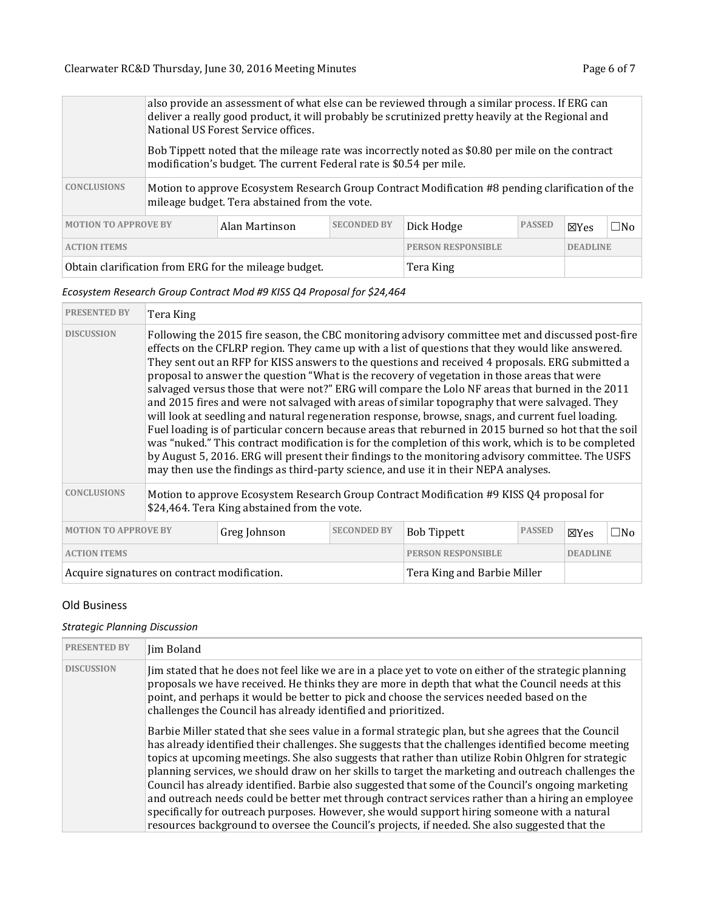|                                                                     | also provide an assessment of what else can be reviewed through a similar process. If ERG can<br>deliver a really good product, it will probably be scrutinized pretty heavily at the Regional and<br>National US Forest Service offices. |  |                                              |            |               |                 |              |  |
|---------------------------------------------------------------------|-------------------------------------------------------------------------------------------------------------------------------------------------------------------------------------------------------------------------------------------|--|----------------------------------------------|------------|---------------|-----------------|--------------|--|
|                                                                     | Bob Tippett noted that the mileage rate was incorrectly noted as \$0.80 per mile on the contract<br>modification's budget. The current Federal rate is \$0.54 per mile.                                                                   |  |                                              |            |               |                 |              |  |
| <b>CONCLUSIONS</b>                                                  | Motion to approve Ecosystem Research Group Contract Modification #8 pending clarification of the<br>mileage budget. Tera abstained from the vote.                                                                                         |  |                                              |            |               |                 |              |  |
| <b>SECONDED BY</b><br><b>MOTION TO APPROVE BY</b><br>Alan Martinson |                                                                                                                                                                                                                                           |  |                                              | Dick Hodge | <b>PASSED</b> | $\boxtimes$ Yes | $\square$ No |  |
| <b>ACTION ITEMS</b>                                                 |                                                                                                                                                                                                                                           |  | <b>PERSON RESPONSIBLE</b><br><b>DEADLINE</b> |            |               |                 |              |  |
| Obtain clarification from ERG for the mileage budget.               |                                                                                                                                                                                                                                           |  | Tera King                                    |            |               |                 |              |  |

## *Ecosystem Research Group Contract Mod #9 KISS Q4 Proposal for \$24,464*

| <b>PRESENTED BY</b>                         | Tera King                                                                                                                                                                                                                                                                                                                                                                                                                                                                                                                                                                                                                                                                                                                                                                                                                                                                                                                                                                                                                                                                                                                           |                    |                           |                             |                 |              |  |
|---------------------------------------------|-------------------------------------------------------------------------------------------------------------------------------------------------------------------------------------------------------------------------------------------------------------------------------------------------------------------------------------------------------------------------------------------------------------------------------------------------------------------------------------------------------------------------------------------------------------------------------------------------------------------------------------------------------------------------------------------------------------------------------------------------------------------------------------------------------------------------------------------------------------------------------------------------------------------------------------------------------------------------------------------------------------------------------------------------------------------------------------------------------------------------------------|--------------------|---------------------------|-----------------------------|-----------------|--------------|--|
| <b>DISCUSSION</b>                           | Following the 2015 fire season, the CBC monitoring advisory committee met and discussed post-fire<br>effects on the CFLRP region. They came up with a list of questions that they would like answered.<br>They sent out an RFP for KISS answers to the questions and received 4 proposals. ERG submitted a<br>proposal to answer the question "What is the recovery of vegetation in those areas that were<br>salvaged versus those that were not?" ERG will compare the Lolo NF areas that burned in the 2011<br>and 2015 fires and were not salvaged with areas of similar topography that were salvaged. They<br>will look at seedling and natural regeneration response, browse, snags, and current fuel loading.<br>Fuel loading is of particular concern because areas that reburned in 2015 burned so hot that the soil<br>was "nuked." This contract modification is for the completion of this work, which is to be completed<br>by August 5, 2016. ERG will present their findings to the monitoring advisory committee. The USFS<br>may then use the findings as third-party science, and use it in their NEPA analyses. |                    |                           |                             |                 |              |  |
| <b>CONCLUSIONS</b>                          | Motion to approve Ecosystem Research Group Contract Modification #9 KISS Q4 proposal for<br>\$24,464. Tera King abstained from the vote.                                                                                                                                                                                                                                                                                                                                                                                                                                                                                                                                                                                                                                                                                                                                                                                                                                                                                                                                                                                            |                    |                           |                             |                 |              |  |
| <b>MOTION TO APPROVE BY</b><br>Greg Johnson |                                                                                                                                                                                                                                                                                                                                                                                                                                                                                                                                                                                                                                                                                                                                                                                                                                                                                                                                                                                                                                                                                                                                     | <b>SECONDED BY</b> | <b>Bob Tippett</b>        | <b>PASSED</b>               | $\boxtimes$ Yes | $\square$ No |  |
| <b>ACTION ITEMS</b>                         |                                                                                                                                                                                                                                                                                                                                                                                                                                                                                                                                                                                                                                                                                                                                                                                                                                                                                                                                                                                                                                                                                                                                     |                    | <b>PERSON RESPONSIBLE</b> |                             | <b>DEADLINE</b> |              |  |
|                                             | Acquire signatures on contract modification.                                                                                                                                                                                                                                                                                                                                                                                                                                                                                                                                                                                                                                                                                                                                                                                                                                                                                                                                                                                                                                                                                        |                    |                           | Tera King and Barbie Miller |                 |              |  |

## Old Business

## *Strategic Planning Discussion*

| <b>PRESENTED BY</b> | Jim Boland                                                                                                                                                                                                                                                                                                                                                                                                                                                                                                                                                                                                                                                                                                                                                                                                                             |
|---------------------|----------------------------------------------------------------------------------------------------------------------------------------------------------------------------------------------------------------------------------------------------------------------------------------------------------------------------------------------------------------------------------------------------------------------------------------------------------------------------------------------------------------------------------------------------------------------------------------------------------------------------------------------------------------------------------------------------------------------------------------------------------------------------------------------------------------------------------------|
| <b>DISCUSSION</b>   | Jim stated that he does not feel like we are in a place yet to vote on either of the strategic planning<br>proposals we have received. He thinks they are more in depth that what the Council needs at this<br>point, and perhaps it would be better to pick and choose the services needed based on the<br>challenges the Council has already identified and prioritized.                                                                                                                                                                                                                                                                                                                                                                                                                                                             |
|                     | Barbie Miller stated that she sees value in a formal strategic plan, but she agrees that the Council<br>has already identified their challenges. She suggests that the challenges identified become meeting<br>topics at upcoming meetings. She also suggests that rather than utilize Robin Ohlgren for strategic<br>planning services, we should draw on her skills to target the marketing and outreach challenges the<br>Council has already identified. Barbie also suggested that some of the Council's ongoing marketing<br>and outreach needs could be better met through contract services rather than a hiring an employee<br>specifically for outreach purposes. However, she would support hiring someone with a natural<br>resources background to oversee the Council's projects, if needed. She also suggested that the |